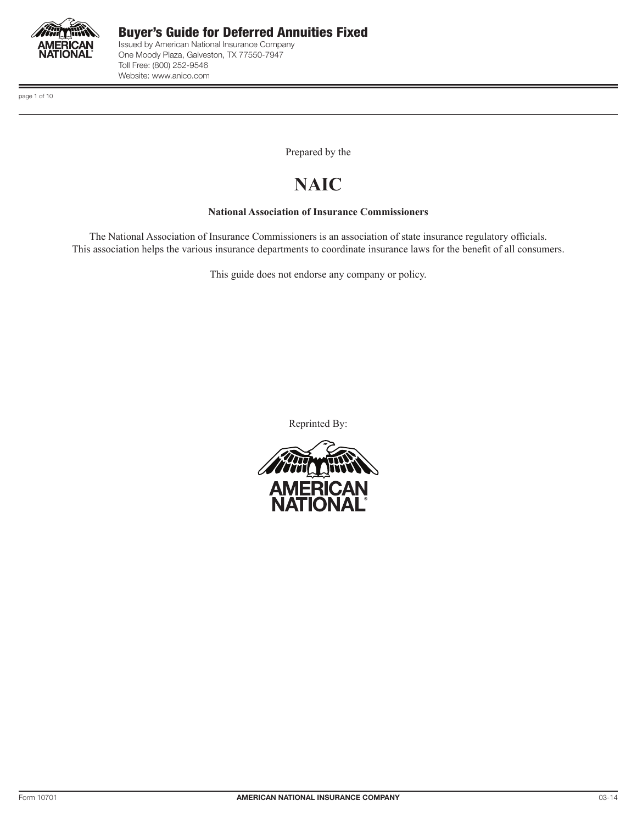

page 1 of 10

Prepared by the

# **NAIC**

#### **National Association of Insurance Commissioners**

The National Association of Insurance Commissioners is an association of state insurance regulatory officials. This association helps the various insurance departments to coordinate insurance laws for the benefit of all consumers.

This guide does not endorse any company or policy.

Reprinted By:

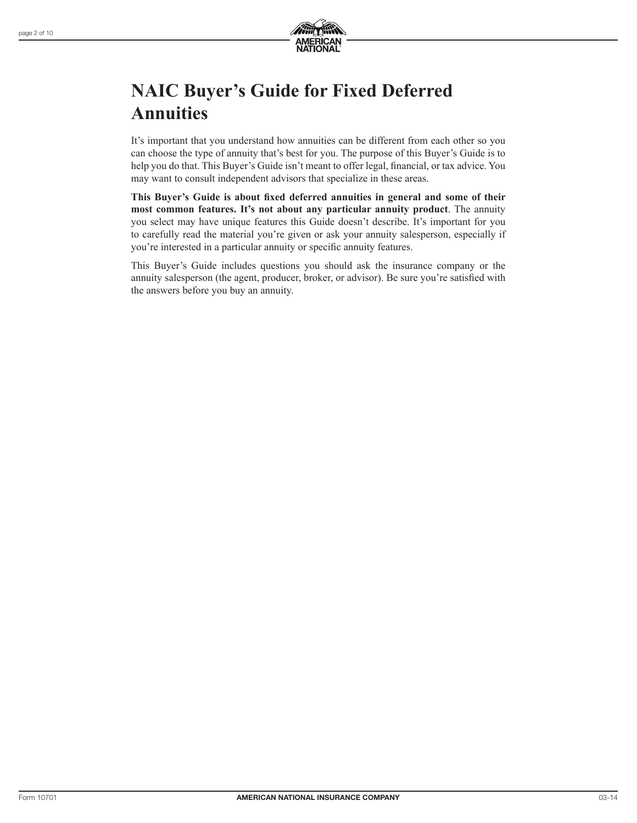

# **NAIC Buyer's Guide for Fixed Deferred Annuities**

It's important that you understand how annuities can be different from each other so you can choose the type of annuity that's best for you. The purpose of this Buyer's Guide is to help you do that. This Buyer's Guide isn't meant to offer legal, financial, or tax advice. You may want to consult independent advisors that specialize in these areas.

**This Buyer's Guide is about fixed deferred annuities in general and some of their most common features. It's not about any particular annuity product**. The annuity you select may have unique features this Guide doesn't describe. It's important for you to carefully read the material you're given or ask your annuity salesperson, especially if you're interested in a particular annuity or specific annuity features.

This Buyer's Guide includes questions you should ask the insurance company or the annuity salesperson (the agent, producer, broker, or advisor). Be sure you're satisfied with the answers before you buy an annuity.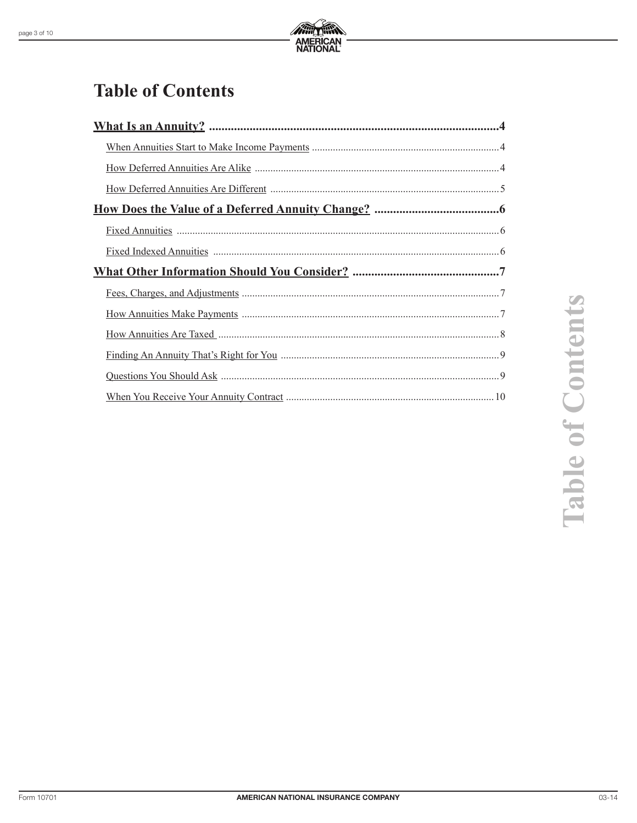

# **Table of Contents**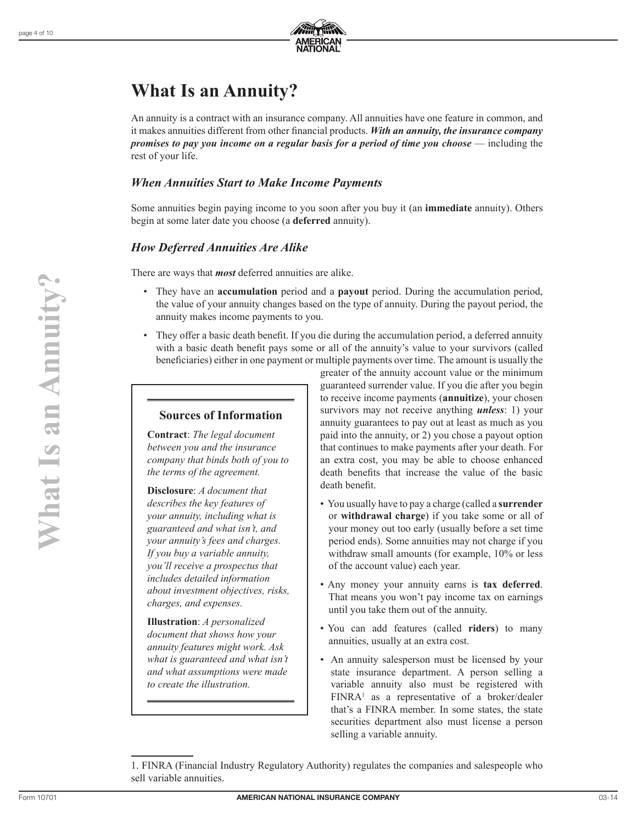

# **What Is an Annuity?**

An annuity is a contract with an insurance company. All annuities have one feature in common, and it makes annuities different from other financial products. *With an annuity, the insurance company promises to pay you income on a regular basis for a period of time you choose* — including the rest of your life.

### *When Annuities Start to Make Income Payments*

Some annuities begin paying income to you soon after you buy it (an **immediate** annuity). Others begin at some later date you choose (a **deferred** annuity).

### *How Deferred Annuities Are Alike*

There are ways that *most* deferred annuities are alike.

- They have an **accumulation** period and a **payout** period. During the accumulation period, the value of your annuity changes based on the type of annuity. During the payout period, the annuity makes income payments to you.
- They offer a basic death benefit. If you die during the accumulation period, a deferred annuity with a basic death benefit pays some or all of the annuity's value to your survivors (called beneficiaries) either in one payment or multiple payments over time. The amount is usually the

#### **Sources of Information**

**Contract**: *The legal document between you and the insurance company that binds both of you to the terms of the agreement.*

**Disclosure**: *A document that describes the key features of your annuity, including what is guaranteed and what isn't, and your annuity's fees and charges. If you buy a variable annuity, you'll receive a prospectus that includes detailed information about investment objectives, risks, charges, and expenses.*

**Illustration**: *A personalized document that shows how your annuity features might work. Ask what is guaranteed and what isn't and what assumptions were made to create the illustration.*

greater of the annuity account value or the minimum guaranteed surrender value. If you die after you begin to receive income payments (**annuitize**), your chosen survivors may not receive anything *unless*: 1) your annuity guarantees to pay out at least as much as you paid into the annuity, or 2) you chose a payout option that continues to make payments after your death. For an extra cost, you may be able to choose enhanced death benefits that increase the value of the basic death benefit.

- You usually have to pay a charge (called a **surrender** or **withdrawal charge**) if you take some or all of your money out too early (usually before a set time period ends). Some annuities may not charge if you withdraw small amounts (for example, 10% or less of the account value) each year.
- Any money your annuity earns is **tax deferred**. That means you won't pay income tax on earnings until you take them out of the annuity.
- You can add features (called **riders**) to many annuities, usually at an extra cost.
- An annuity salesperson must be licensed by your state insurance department. A person selling a variable annuity also must be registered with  $FINRA<sup>1</sup>$  as a representative of a broker/dealer that's a FINRA member. In some states, the state securities department also must license a person selling a variable annuity.

page 4 of 10

<sup>1.</sup> FINRA (Financial Industry Regulatory Authority) regulates the companies and salespeople who sell variable annuities.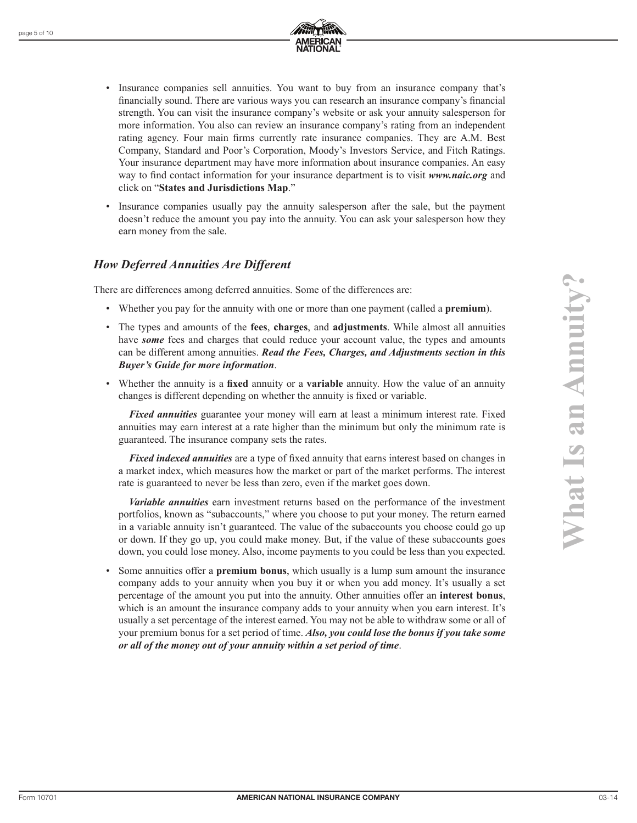

- Insurance companies sell annuities. You want to buy from an insurance company that's financially sound. There are various ways you can research an insurance company's financial strength. You can visit the insurance company's website or ask your annuity salesperson for more information. You also can review an insurance company's rating from an independent rating agency. Four main firms currently rate insurance companies. They are A.M. Best Company, Standard and Poor's Corporation, Moody's Investors Service, and Fitch Ratings. Your insurance department may have more information about insurance companies. An easy way to find contact information for your insurance department is to visit *www.naic.org* and click on "**States and Jurisdictions Map**."
- Insurance companies usually pay the annuity salesperson after the sale, but the payment doesn't reduce the amount you pay into the annuity. You can ask your salesperson how they earn money from the sale.

### *How Deferred Annuities Are Different*

There are differences among deferred annuities. Some of the differences are:

- Whether you pay for the annuity with one or more than one payment (called a **premium**).
- The types and amounts of the **fees**, **charges**, and **adjustments**. While almost all annuities have *some* fees and charges that could reduce your account value, the types and amounts can be different among annuities. *Read the Fees, Charges, and Adjustments section in this Buyer's Guide for more information*.
- Whether the annuity is a **fixed** annuity or a **variable** annuity. How the value of an annuity changes is different depending on whether the annuity is fixed or variable.

*Fixed annuities* guarantee your money will earn at least a minimum interest rate. Fixed annuities may earn interest at a rate higher than the minimum but only the minimum rate is guaranteed. The insurance company sets the rates.

 *Fixed indexed annuities* are a type of fixed annuity that earns interest based on changes in a market index, which measures how the market or part of the market performs. The interest rate is guaranteed to never be less than zero, even if the market goes down.

 *Variable annuities* earn investment returns based on the performance of the investment portfolios, known as "subaccounts," where you choose to put your money. The return earned in a variable annuity isn't guaranteed. The value of the subaccounts you choose could go up or down. If they go up, you could make money. But, if the value of these subaccounts goes down, you could lose money. Also, income payments to you could be less than you expected.

• Some annuities offer a **premium bonus**, which usually is a lump sum amount the insurance company adds to your annuity when you buy it or when you add money. It's usually a set percentage of the amount you put into the annuity. Other annuities offer an **interest bonus**, which is an amount the insurance company adds to your annuity when you earn interest. It's usually a set percentage of the interest earned. You may not be able to withdraw some or all of your premium bonus for a set period of time. *Also, you could lose the bonus if you take some or all of the money out of your annuity within a set period of time*.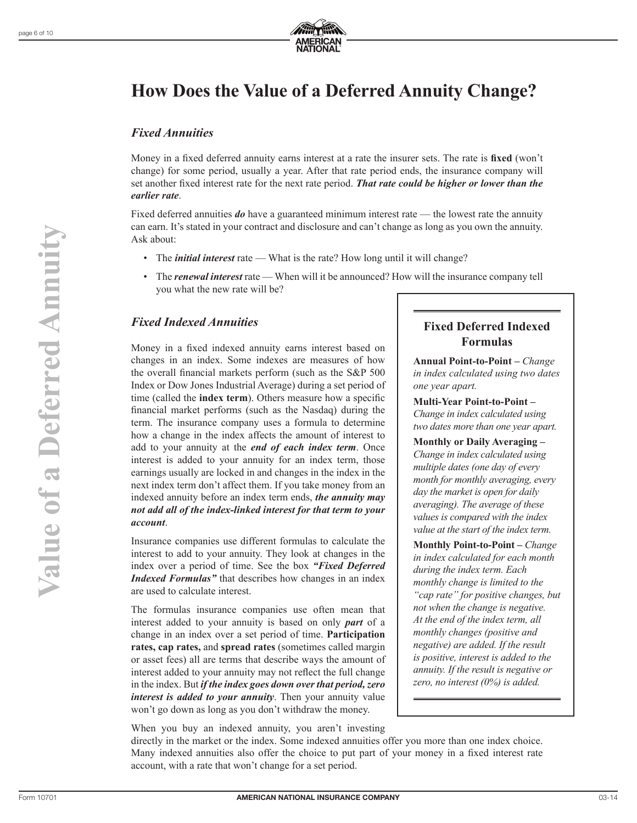



# **How Does the Value of a Deferred Annuity Change?**

### *Fixed Annuities*

Money in a fixed deferred annuity earns interest at a rate the insurer sets. The rate is **fixed** (won't change) for some period, usually a year. After that rate period ends, the insurance company will set another fixed interest rate for the next rate period. *That rate could be higher or lower than the earlier rate*.

Fixed deferred annuities *do* have a guaranteed minimum interest rate — the lowest rate the annuity can earn. It's stated in your contract and disclosure and can't change as long as you own the annuity. Ask about:

- The *initial interest* rate What is the rate? How long until it will change?
- The *renewal interest* rate When will it be announced? How will the insurance company tell you what the new rate will be?

**Fixed Deferred Indexed Formulas Annual Point-to-Point –** *Change in index calculated using two dates* 

**Multi-Year Point-to-Point –**  *Change in index calculated using two dates more than one year apart.* **Monthly or Daily Averaging –** *Change in index calculated using multiple dates (one day of every month for monthly averaging, every day the market is open for daily averaging). The average of these values is compared with the index value at the start of the index term.* **Monthly Point-to-Point –** *Change in index calculated for each month during the index term. Each monthly change is limited to the "cap rate" for positive changes, but not when the change is negative. At the end of the index term, all monthly changes (positive and negative) are added. If the result is positive, interest is added to the annuity. If the result is negative or zero, no interest (0%) is added.*

*one year apart.*

## *Fixed Indexed Annuities*

Money in a fixed indexed annuity earns interest based on changes in an index. Some indexes are measures of how the overall financial markets perform (such as the S&P 500 Index or Dow Jones Industrial Average) during a set period of time (called the **index term**). Others measure how a specific financial market performs (such as the Nasdaq) during the term. The insurance company uses a formula to determine how a change in the index affects the amount of interest to add to your annuity at the *end of each index term*. Once interest is added to your annuity for an index term, those earnings usually are locked in and changes in the index in the next index term don't affect them. If you take money from an indexed annuity before an index term ends, *the annuity may not add all of the index-linked interest for that term to your account*.

Insurance companies use different formulas to calculate the interest to add to your annuity. They look at changes in the index over a period of time. See the box *"Fixed Deferred Indexed Formulas"* that describes how changes in an index are used to calculate interest.

The formulas insurance companies use often mean that interest added to your annuity is based on only *part* of a change in an index over a set period of time. **Participation rates, cap rates,** and **spread rates** (sometimes called margin or asset fees) all are terms that describe ways the amount of interest added to your annuity may not reflect the full change in the index. But *if the index goes down over that period, zero interest is added to your annuity*. Then your annuity value won't go down as long as you don't withdraw the money.

When you buy an indexed annuity, you aren't investing

#### directly in the market or the index. Some indexed annuities offer you more than one index choice. Many indexed annuities also offer the choice to put part of your money in a fixed interest rate account, with a rate that won't change for a set period.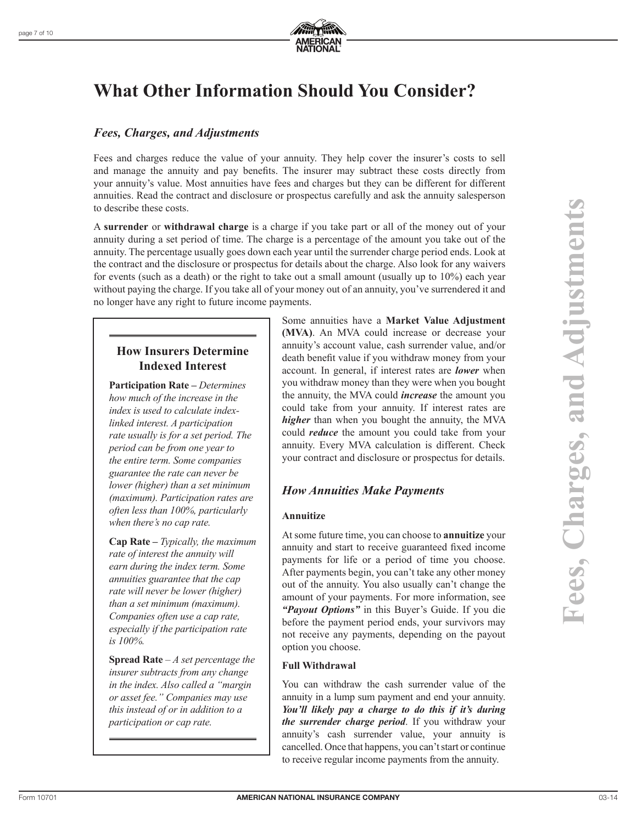

# **What Other Information Should You Consider?**

## *Fees, Charges, and Adjustments*

Fees and charges reduce the value of your annuity. They help cover the insurer's costs to sell and manage the annuity and pay benefits. The insurer may subtract these costs directly from your annuity's value. Most annuities have fees and charges but they can be different for different annuities. Read the contract and disclosure or prospectus carefully and ask the annuity salesperson to describe these costs.

A **surrender** or **withdrawal charge** is a charge if you take part or all of the money out of your annuity during a set period of time. The charge is a percentage of the amount you take out of the annuity. The percentage usually goes down each year until the surrender charge period ends. Look at the contract and the disclosure or prospectus for details about the charge. Also look for any waivers for events (such as a death) or the right to take out a small amount (usually up to 10%) each year without paying the charge. If you take all of your money out of an annuity, you've surrendered it and no longer have any right to future income payments.

# **How Insurers Determine Indexed Interest**

**Participation Rate –** *Determines how much of the increase in the index is used to calculate indexlinked interest. A participation rate usually is for a set period. The period can be from one year to the entire term. Some companies guarantee the rate can never be lower (higher) than a set minimum (maximum). Participation rates are often less than 100%, particularly when there's no cap rate.*

**Cap Rate –** *Typically, the maximum rate of interest the annuity will earn during the index term. Some annuities guarantee that the cap rate will never be lower (higher) than a set minimum (maximum). Companies often use a cap rate, especially if the participation rate is 100%.*

**Spread Rate** *– A set percentage the insurer subtracts from any change in the index. Also called a "margin or asset fee." Companies may use this instead of or in addition to a participation or cap rate.*

Some annuities have a **Market Value Adjustment (MVA)**. An MVA could increase or decrease your annuity's account value, cash surrender value, and/or death benefit value if you withdraw money from your account. In general, if interest rates are *lower* when you withdraw money than they were when you bought the annuity, the MVA could *increase* the amount you could take from your annuity. If interest rates are *higher* than when you bought the annuity, the MVA could *reduce* the amount you could take from your annuity. Every MVA calculation is different. Check your contract and disclosure or prospectus for details.

## *How Annuities Make Payments*

### **Annuitize**

At some future time, you can choose to **annuitize** your annuity and start to receive guaranteed fixed income payments for life or a period of time you choose. After payments begin, you can't take any other money out of the annuity. You also usually can't change the amount of your payments. For more information, see *"Payout Options"* in this Buyer's Guide. If you die before the payment period ends, your survivors may not receive any payments, depending on the payout option you choose.

### **Full Withdrawal**

You can withdraw the cash surrender value of the annuity in a lump sum payment and end your annuity. *You'll likely pay a charge to do this if it's during the surrender charge period*. If you withdraw your annuity's cash surrender value, your annuity is cancelled. Once that happens, you can't start or continue to receive regular income payments from the annuity.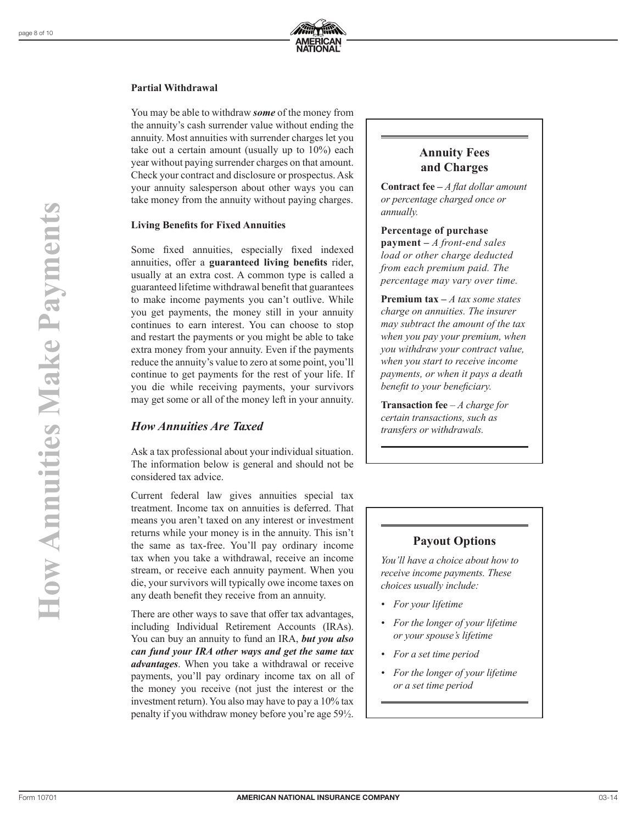

#### **Partial Withdrawal**

You may be able to withdraw *some* of the money from the annuity's cash surrender value without ending the annuity. Most annuities with surrender charges let you take out a certain amount (usually up to 10%) each year without paying surrender charges on that amount. Check your contract and disclosure or prospectus. Ask your annuity salesperson about other ways you can take money from the annuity without paying charges.

#### **Living Benefits for Fixed Annuities**

Some fixed annuities, especially fixed indexed annuities, offer a **guaranteed living benefits** rider, usually at an extra cost. A common type is called a guaranteed lifetime withdrawal benefit that guarantees to make income payments you can't outlive. While you get payments, the money still in your annuity continues to earn interest. You can choose to stop and restart the payments or you might be able to take extra money from your annuity. Even if the payments reduce the annuity's value to zero at some point, you'll continue to get payments for the rest of your life. If you die while receiving payments, your survivors may get some or all of the money left in your annuity.

## *How Annuities Are Taxed*

Ask a tax professional about your individual situation. The information below is general and should not be considered tax advice.

Current federal law gives annuities special tax treatment. Income tax on annuities is deferred. That means you aren't taxed on any interest or investment returns while your money is in the annuity. This isn't the same as tax-free. You'll pay ordinary income tax when you take a withdrawal, receive an income stream, or receive each annuity payment. When you die, your survivors will typically owe income taxes on any death benefit they receive from an annuity.

There are other ways to save that offer tax advantages, including Individual Retirement Accounts (IRAs). You can buy an annuity to fund an IRA, *but you also can fund your IRA other ways and get the same tax advantages*. When you take a withdrawal or receive payments, you'll pay ordinary income tax on all of the money you receive (not just the interest or the investment return). You also may have to pay a 10% tax penalty if you withdraw money before you're age 59½.

## **Annuity Fees and Charges**

**Contract fee –** *A flat dollar amount or percentage charged once or annually.*

**Percentage of purchase payment –** *A front-end sales load or other charge deducted from each premium paid. The percentage may vary over time.*

**Premium tax –** *A tax some states charge on annuities. The insurer may subtract the amount of the tax when you pay your premium, when you withdraw your contract value, when you start to receive income payments, or when it pays a death benefit to your beneficiary.*

**Transaction fee** *– A charge for certain transactions, such as transfers or withdrawals.*

## **Payout Options**

*You'll have a choice about how to receive income payments. These choices usually include:*

- *• For your lifetime*
- *• For the longer of your lifetime or your spouse's lifetime*
- *• For a set time period*
- *• For the longer of your lifetime or a set time period*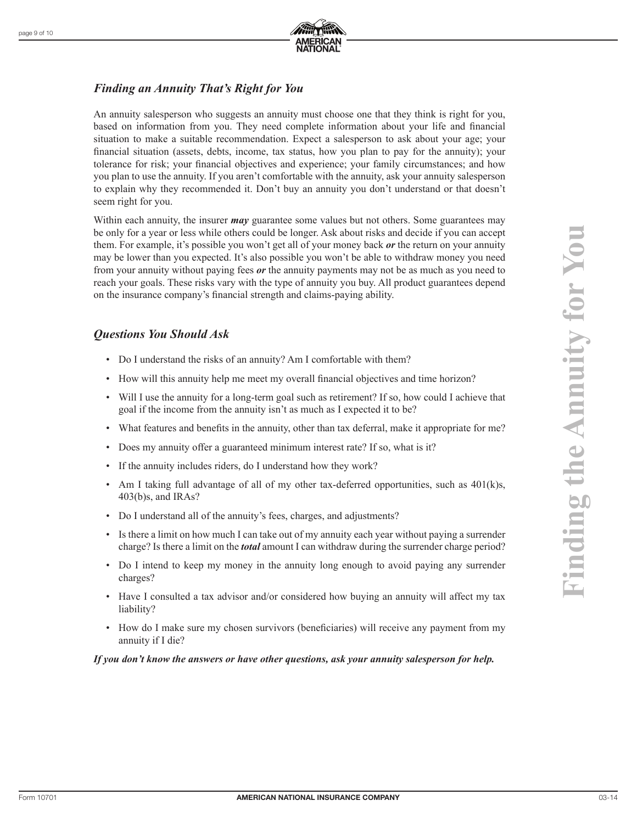

# *Finding an Annuity That's Right for You*

An annuity salesperson who suggests an annuity must choose one that they think is right for you, based on information from you. They need complete information about your life and financial situation to make a suitable recommendation. Expect a salesperson to ask about your age; your financial situation (assets, debts, income, tax status, how you plan to pay for the annuity); your tolerance for risk; your financial objectives and experience; your family circumstances; and how you plan to use the annuity. If you aren't comfortable with the annuity, ask your annuity salesperson to explain why they recommended it. Don't buy an annuity you don't understand or that doesn't seem right for you.

Within each annuity, the insurer *may* guarantee some values but not others. Some guarantees may be only for a year or less while others could be longer. Ask about risks and decide if you can accept them. For example, it's possible you won't get all of your money back *or* the return on your annuity may be lower than you expected. It's also possible you won't be able to withdraw money you need from your annuity without paying fees *or* the annuity payments may not be as much as you need to reach your goals. These risks vary with the type of annuity you buy. All product guarantees depend on the insurance company's financial strength and claims-paying ability.

## *Questions You Should Ask*

- Do I understand the risks of an annuity? Am I comfortable with them?
- How will this annuity help me meet my overall financial objectives and time horizon?
- Will I use the annuity for a long-term goal such as retirement? If so, how could I achieve that goal if the income from the annuity isn't as much as I expected it to be?
- What features and benefits in the annuity, other than tax deferral, make it appropriate for me?
- Does my annuity offer a guaranteed minimum interest rate? If so, what is it?
- If the annuity includes riders, do I understand how they work?
- Am I taking full advantage of all of my other tax-deferred opportunities, such as 401(k)s, 403(b)s, and IRAs?
- Do I understand all of the annuity's fees, charges, and adjustments?
- Is there a limit on how much I can take out of my annuity each year without paying a surrender charge? Is there a limit on the *total* amount I can withdraw during the surrender charge period?
- Do I intend to keep my money in the annuity long enough to avoid paying any surrender charges?
- Have I consulted a tax advisor and/or considered how buying an annuity will affect my tax liability?
- How do I make sure my chosen survivors (beneficiaries) will receive any payment from my annuity if I die?

#### *If you don't know the answers or have other questions, ask your annuity salesperson for help.*